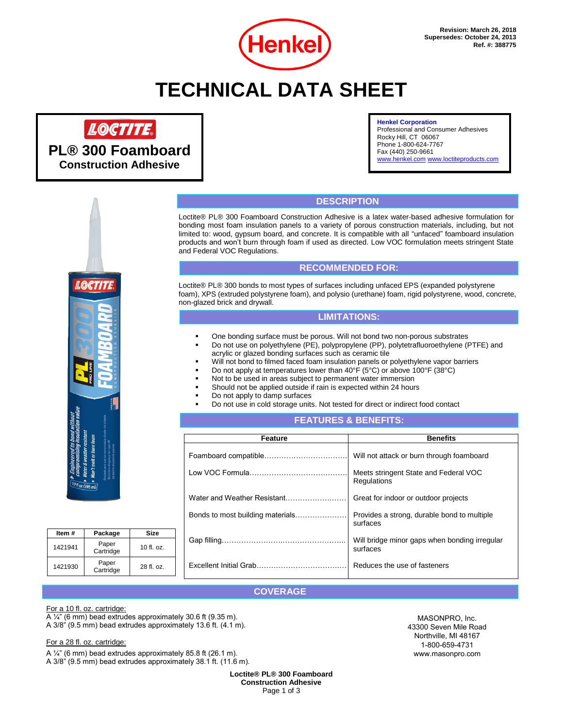

## **TECHNICAL DATA SHEET**

## LOCTITE.

**PL® 300 Foamboard Construction Adhesive**

#### **Henkel Corporation**

Professional and Consumer Adhesives Rocky Hill, CT 06067 Phone 1-800-624-7767 Fax (440) 250-9661 [www.henkel.com](http://www.henkel.com/) [www.loctiteproducts.com](http://www.loctiteproducts.com/)



| Item#   | Package            | Size         |
|---------|--------------------|--------------|
| 1421941 | Paper<br>Cartridge | $10$ fl. oz. |
| 1421930 | Paper<br>Cartridge | 28 fl. oz.   |

## **DESCRIPTION**

Loctite® PL® 300 Foamboard Construction Adhesive is a latex water-based adhesive formulation for bonding most foam insulation panels to a variety of porous construction materials, including, but not limited to: wood, gypsum board, and concrete. It is compatible with all "unfaced" foamboard insulation products and won't burn through foam if used as directed. Low VOC formulation meets stringent State and Federal VOC Regulations.

## **RECOMMENDED FOR:**

Loctite® PL® 300 bonds to most types of surfaces including unfaced EPS (expanded polystyrene foam), XPS (extruded polystyrene foam), and polysio (urethane) foam, rigid polystyrene, wood, concrete, non-glazed brick and drywall.

### **LIMITATIONS:**

- One bonding surface must be porous. Will not bond two non-porous substrates
- Do not use on polyethylene (PE), polypropylene (PP), polytetrafluoroethylene (PTFE) and acrylic or glazed bonding surfaces such as ceramic tile
- Will not bond to filmed faced foam insulation panels or polyethylene vapor barriers
- Do not apply at temperatures lower than  $40^{\circ}F$  (5°C) or above 100°F (38°C)
- Not to be used in areas subject to permanent water immersion
- Should not be applied outside if rain is expected within 24 hours
- Do not apply to damp surfaces
- Do not use in cold storage units. Not tested for direct or indirect food contact

### **FEATURES & BENEFITS:**

| <b>Feature</b>                   | <b>Benefits</b>                                           |
|----------------------------------|-----------------------------------------------------------|
|                                  | Will not attack or burn through foamboard                 |
|                                  | Meets stringent State and Federal VOC<br>Regulations      |
| Water and Weather Resistant      | Great for indoor or outdoor projects                      |
| Bonds to most building materials | Provides a strong, durable bond to multiple<br>surfaces   |
|                                  | Will bridge minor gaps when bonding irregular<br>surfaces |
| Excellent Initial Grab           | Reduces the use of fasteners                              |

## **COVERAGE**

#### For a 10 fl. oz. cartridge:

A ¼" (6 mm) bead extrudes approximately 30.6 ft (9.35 m). A 3/8" (9.5 mm) bead extrudes approximately 13.6 ft. (4.1 m).

#### For a 28 fl. oz. cartridge:

A ¼" (6 mm) bead extrudes approximately 85.8 ft (26.1 m).

A 3/8" (9.5 mm) bead extrudes approximately 38.1 ft. (11.6 m).

**Loctite® PL® 300 Foamboard Construction Adhesive** Page 1 of 3

MASONPRO, Inc. 43300 Seven Mile Road Northville, MI 48167 1-800-659-4731 www.masonpro.com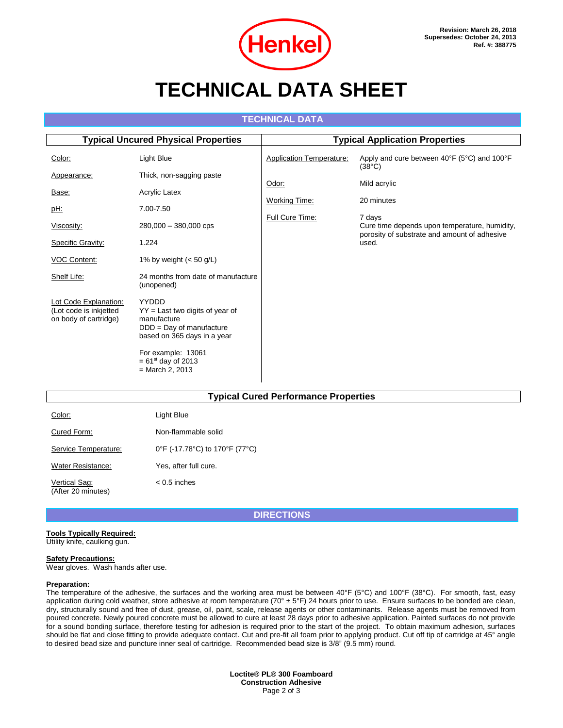

## **TECHNICAL DATA SHEET**

## **TECHNICAL DATA**

| <b>Typical Uncured Physical Properties</b>                               |                                                                                                                        | <b>Typical Application Properties</b> |                                                                                                         |  |
|--------------------------------------------------------------------------|------------------------------------------------------------------------------------------------------------------------|---------------------------------------|---------------------------------------------------------------------------------------------------------|--|
| Color:                                                                   | Light Blue                                                                                                             | <b>Application Temperature:</b>       | Apply and cure between 40°F (5°C) and 100°F<br>$(38^{\circ}C)$                                          |  |
| Appearance:                                                              | Thick, non-sagging paste                                                                                               | Odor:                                 | Mild acrylic                                                                                            |  |
| Base:                                                                    | Acrylic Latex                                                                                                          |                                       |                                                                                                         |  |
| pH:                                                                      | 7.00-7.50                                                                                                              | <b>Working Time:</b>                  | 20 minutes                                                                                              |  |
| Viscosity:                                                               | $280,000 - 380,000$ cps                                                                                                | Full Cure Time:                       | 7 days<br>Cure time depends upon temperature, humidity,<br>porosity of substrate and amount of adhesive |  |
| <b>Specific Gravity:</b>                                                 | 1.224                                                                                                                  |                                       | used.                                                                                                   |  |
| VOC Content:                                                             | 1% by weight $(< 50$ g/L)                                                                                              |                                       |                                                                                                         |  |
| Shelf Life:                                                              | 24 months from date of manufacture<br>(unopened)                                                                       |                                       |                                                                                                         |  |
| Lot Code Explanation:<br>(Lot code is inkjetted<br>on body of cartridge) | YYDDD<br>$YY =$ Last two digits of year of<br>manufacture<br>$DDD = Day of manufacture$<br>based on 365 days in a year |                                       |                                                                                                         |  |
|                                                                          | For example: 13061<br>$= 61^{st}$ day of 2013<br>$=$ March 2, 2013                                                     |                                       |                                                                                                         |  |

#### **Typical Cured Performance Properties**

| Color:                              | Light Blue                     |
|-------------------------------------|--------------------------------|
| Cured Form:                         | Non-flammable solid            |
| Service Temperature:                | 0°F (-17.78°C) to 170°F (77°C) |
| Water Resistance:                   | Yes, after full cure.          |
| Vertical Sag:<br>(After 20 minutes) | $< 0.5$ inches                 |

**DIRECTIONS**

#### **Tools Typically Required:** Utility knife, caulking gun.

#### **Safety Precautions:**

Wear gloves. Wash hands after use.

#### **Preparation:**

The temperature of the adhesive, the surfaces and the working area must be between 40°F (5°C) and 100°F (38°C). For smooth, fast, easy application during cold weather, store adhesive at room temperature (70°  $\pm$  5°F) 24 hours prior to use. Ensure surfaces to be bonded are clean, dry, structurally sound and free of dust, grease, oil, paint, scale, release agents or other contaminants. Release agents must be removed from poured concrete. Newly poured concrete must be allowed to cure at least 28 days prior to adhesive application. Painted surfaces do not provide for a sound bonding surface, therefore testing for adhesion is required prior to the start of the project. To obtain maximum adhesion, surfaces should be flat and close fitting to provide adequate contact. Cut and pre-fit all foam prior to applying product. Cut off tip of cartridge at 45° angle to desired bead size and puncture inner seal of cartridge. Recommended bead size is 3/8" (9.5 mm) round.

> **Loctite® PL® 300 Foamboard Construction Adhesive** Page 2 of 3